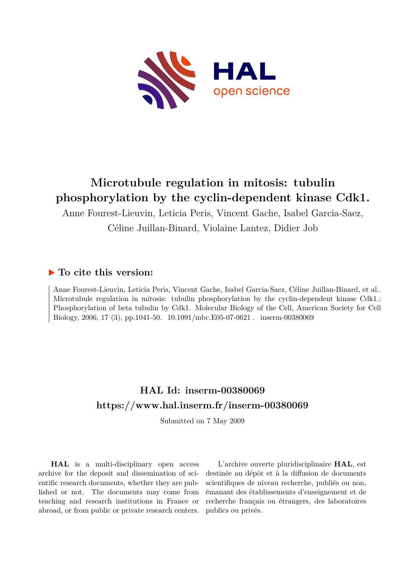

# **Microtubule regulation in mitosis: tubulin phosphorylation by the cyclin-dependent kinase Cdk1.**

Anne Fourest-Lieuvin, Leticia Peris, Vincent Gache, Isabel Garcia-Saez, Céline Juillan-Binard, Violaine Lantez, Didier Job

## **To cite this version:**

Anne Fourest-Lieuvin, Leticia Peris, Vincent Gache, Isabel Garcia-Saez, Céline Juillan-Binard, et al.. Microtubule regulation in mitosis: tubulin phosphorylation by the cyclin-dependent kinase Cdk1.: Phosphorylation of beta tubulin by Cdk1. Molecular Biology of the Cell, American Society for Cell Biology, 2006, 17 (3), pp.1041-50. 10.1091/mbc.E05-07-0621 . inserm-00380069

## **HAL Id: inserm-00380069 <https://www.hal.inserm.fr/inserm-00380069>**

Submitted on 7 May 2009

**HAL** is a multi-disciplinary open access archive for the deposit and dissemination of scientific research documents, whether they are published or not. The documents may come from teaching and research institutions in France or abroad, or from public or private research centers.

L'archive ouverte pluridisciplinaire **HAL**, est destinée au dépôt et à la diffusion de documents scientifiques de niveau recherche, publiés ou non, émanant des établissements d'enseignement et de recherche français ou étrangers, des laboratoires publics ou privés.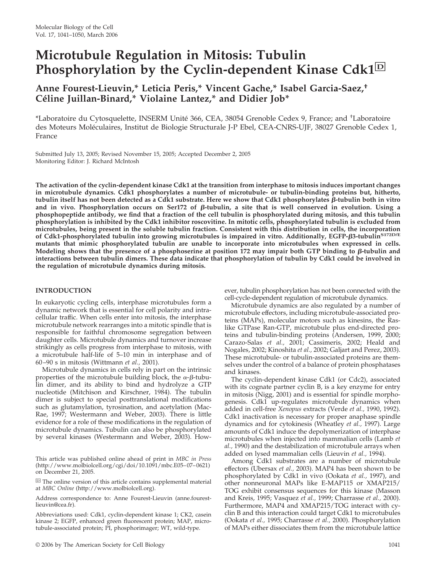# **Microtubule Regulation in Mitosis: Tubulin Phosphorylation by the Cyclin-dependent Kinase Cdk1**□**<sup>D</sup>**

### **Anne Fourest-Lieuvin,\* Leticia Peris,\* Vincent Gache,\* Isabel Garcia-Saez,†** Céline Juillan-Binard,\* Violaine Lantez,\* and Didier Job\*

\*Laboratoire du Cytosquelette, INSERM Unité 366, CEA, 38054 Grenoble Cedex 9, France; and <sup>+</sup>Laboratoire des Moteurs Moléculaires, Institut de Biologie Structurale J-P Ebel, CEA-CNRS-UJF, 38027 Grenoble Cedex 1, France

Submitted July 13, 2005; Revised November 15, 2005; Accepted December 2, 2005 Monitoring Editor: J. Richard McIntosh

**The activation of the cyclin-dependent kinase Cdk1 at the transition from interphase to mitosis induces important changes in microtubule dynamics. Cdk1 phosphorylates a number of microtubule- or tubulin-binding proteins but, hitherto, tubulin itself has not been detected as a Cdk1 substrate. Here we show that Cdk1 phosphorylates β-tubulin both in vitro** and in vivo. Phosphorylation occurs on Ser172 of  $\beta$ -tubulin, a site that is well conserved in evolution. Using a **phosphopeptide antibody, we find that a fraction of the cell tubulin is phosphorylated during mitosis, and this tubulin phosphorylation is inhibited by the Cdk1 inhibitor roscovitine. In mitotic cells, phosphorylated tubulin is excluded from microtubules, being present in the soluble tubulin fraction. Consistent with this distribution in cells, the incorporation** of Cdk1-phosphorylated tubulin into growing microtubules is impaired in vitro. Additionally, EGFP- $\beta$ 3-tubulin<sup>S172D/E</sup> **mutants that mimic phosphorylated tubulin are unable to incorporate into microtubules when expressed in cells.** Modeling shows that the presence of a phosphoserine at position  $172$  may impair both GTP binding to  $\beta$ -tubulin and **interactions between tubulin dimers. These data indicate that phosphorylation of tubulin by Cdk1 could be involved in the regulation of microtubule dynamics during mitosis.**

#### **INTRODUCTION**

In eukaryotic cycling cells, interphase microtubules form a dynamic network that is essential for cell polarity and intracellular traffic. When cells enter into mitosis, the interphase microtubule network rearranges into a mitotic spindle that is responsible for faithful chromosome segregation between daughter cells. Microtubule dynamics and turnover increase strikingly as cells progress from interphase to mitosis, with a microtubule half-life of 5–10 min in interphase and of 60–90 s in mitosis (Wittmann *et al.,* 2001).

Microtubule dynamics in cells rely in part on the intrinsic properties of the microtubule building block, the  $\alpha$ - $\beta$ -tubulin dimer, and its ability to bind and hydrolyze a GTP nucleotide (Mitchison and Kirschner, 1984). The tubulin dimer is subject to special posttranslational modifications such as glutamylation, tyrosination, and acetylation (Mac-Rae, 1997; Westermann and Weber, 2003). There is little evidence for a role of these modifications in the regulation of microtubule dynamics. Tubulin can also be phosphorylated by several kinases (Westermann and Weber, 2003). How-

This article was published online ahead of print in *MBC in Press* (http://www.molbiolcell.org/cgi/doi/10.1091/mbc.E05–07–0621) on December 21, 2005.

 $\overline{D}$  The online version of this article contains supplemental material at *MBC Online* (http://www.molbiolcell.org).

Address correspondence to: Anne Fourest-Lieuvin (anne.fourestlieuvin@cea.fr).

Abbreviations used: Cdk1, cyclin-dependent kinase 1; CK2, casein kinase 2; EGFP, enhanced green fluorescent protein; MAP, microtubule-associated protein; PI, phosphorimager; WT, wild-type.

ever, tubulin phosphorylation has not been connected with the cell-cycle-dependent regulation of microtubule dynamics.

Microtubule dynamics are also regulated by a number of microtubule effectors, including microtubule-associated proteins (MAPs), molecular motors such as kinesins, the Raslike GTPase Ran-GTP, microtubule plus end-directed proteins and tubulin-binding proteins (Andersen, 1999, 2000; Carazo-Salas *et al.,* 2001; Cassimeris, 2002; Heald and Nogales, 2002; Kinoshita *et al.,* 2002; Galjart and Perez, 2003). These microtubule- or tubulin-associated proteins are themselves under the control of a balance of protein phosphatases and kinases.

The cyclin-dependent kinase Cdk1 (or Cdc2), associated with its cognate partner cyclin B, is a key enzyme for entry in mitosis (Nigg, 2001) and is essential for spindle morphogenesis. Cdk1 up-regulates microtubule dynamics when added in cell-free *Xenopus* extracts (Verde *et al.,* 1990, 1992). Cdk1 inactivation is necessary for proper anaphase spindle dynamics and for cytokinesis (Wheatley *et al.,* 1997). Large amounts of Cdk1 induce the depolymerization of interphase microtubules when injected into mammalian cells (Lamb *et al.,* 1990) and the destabilization of microtubule arrays when added on lysed mammalian cells (Lieuvin *et al.,* 1994).

Among Cdk1 substrates are a number of microtubule effectors (Ubersax *et al.,* 2003). MAP4 has been shown to be phosphorylated by Cdk1 in vivo (Ookata *et al.,* 1997), and other nonneuronal MAPs like E-MAP115 or XMAP215/ TOG exhibit consensus sequences for this kinase (Masson and Kreis, 1995; Vasquez *et al.,* 1999; Charrasse *et al.,* 2000). Furthermore, MAP4 and XMAP215/TOG interact with cyclin B and this interaction could target Cdk1 to microtubules (Ookata *et al.,* 1995; Charrasse *et al.,* 2000). Phosphorylation of MAPs either dissociates them from the microtubule lattice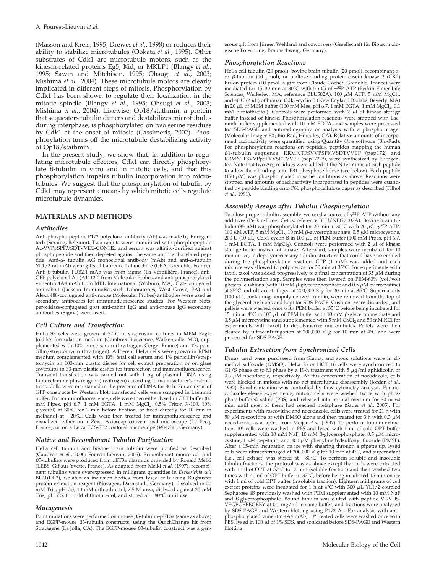(Masson and Kreis, 1995; Drewes *et al.,* 1998) or reduces their ability to stabilize microtubules (Ookata *et al.,* 1995). Other substrates of Cdk1 are microtubule motors, such as the kinesin-related proteins Eg5, Kid, or MKLP1 (Blangy *et al.,* 1995; Sawin and Mitchison, 1995; Ohsugi *et al.,* 2003; Mishima *et al.,* 2004). These microtubule motors are clearly implicated in different steps of mitosis. Phosphorylation by Cdk1 has been shown to regulate their localization in the mitotic spindle (Blangy *et al.,* 1995; Ohsugi *et al.,* 2003; Mishima *et al.,* 2004). Likewise, Op18/stathmin, a protein that sequesters tubulin dimers and destabilizes microtubules during interphase, is phosphorylated on two serine residues by Cdk1 at the onset of mitosis (Cassimeris, 2002). Phosphorylation turns off the microtubule destabilizing activity of Op18/stathmin.

In the present study, we show that, in addition to regulating microtubule effectors, Cdk1 can directly phosphorylate  $\beta$ -tubulin in vitro and in mitotic cells, and that this phosphorylation impairs tubulin incorporation into microtubules. We suggest that the phosphorylation of tubulin by Cdk1 may represent a means by which mitotic cells regulate microtubule dynamics.

#### **MATERIALS AND METHODS**

#### *Antibodies*

Anti-phospho-peptide P172 polyclonal antibody (Ab) was made by Eurogentech (Seraing, Belgium). Two rabbits were immunized with phosphopeptide Ac-VVPpSPKVSDTVVEC-CONH2, and serum was affinity-purified against phosphopeptide and then depleted against the same unphosphorylated peptide. Anti- $\alpha$ - tubulin AG monoclonal antibody (mAb) and anti- $\alpha$ -tubulin YL1/2 rat mAb were gifts of Laurence Lafanechère (CEA, Grenoble, France). Anti-β-tubulin TUB2.1 mAb was from Sigma (La Verpilliére, France), anti-GFP polyclonal Ab (A11122) from Molecular Probes, and anti-phosphorylated vimentin 4A4 mAb from MBL International (Woburn, MA). Cy3-conjugated anti-rabbit (Jackson ImmunoResearch Laboratories, West Grove, PA) and Alexa 488-conjugated anti-mouse (Molecular Probes) antibodies were used as secondary antibodies for immunofluorescence studies. For Western blots, peroxidase-conjugated goat anti-rabbit IgG and anti-mouse IgG secondary antibodies (Sigma) were used.

#### *Cell Culture and Transfection*

HeLa S3 cells were grown at 37°C in suspension cultures in MEM Eagle Joklik's formulation medium (Cambrex Bioscience, Walkersville, MD), supplemented with 10% horse serum (Invitrogen, Cergy, France) and 1% penicillin/streptomycin (Invitrogen). Adherent HeLa cells were grown in RPMI medium complemented with 10% fetal calf serum and 1% penicillin/streptomycin on 100-mm plastic dishes for cell extract preparation or on glass coverslips in 30-mm plastic dishes for transfection and immunofluorescence. Transient transfection was carried out with  $1 \mu$ g of plasmid DNA using Lipofectamine plus reagent (Invitrogen) according to manufacturer's instructions. Cells were maintained in the presence of DNA for 30 h. For analysis of GFP constructs by Western blot, transfected cells were scrapped in Laemmli buffer. For immunofluorescence, cells were then either lysed in OPT buffer (80 mM Pipes, pH 6.7, 1 mM EGTA, 1 mM MgCl<sub>2</sub>, 0.5% Triton X-100, 10% glycerol) at 30°C for 2 min before fixation, or fixed directly for 10 min in methanol at 20°C. Cells were then treated for immunofluorescence and visualized either on a Zeiss Axioscop conventional microscope (Le Pecq, France), or on a Leica TCS-SP2 confocal microscope (Wetzlar, Germany).

#### *Native and Recombinant Tubulin Purification*

HeLa cell tubulin and bovine brain tubulin were purified as described (Caudron *et al.,* 2000; Fourest-Lieuvin, 2005). Recombinant mouse  $\alpha$ 2- and  $\beta$ 5-tubulins were produced from pET3a plasmids provided by Ronald Melki (LEBS, Gif-sur-Yvette, France). As adapted from Melki *et al.* (1997), recombinant tubulins were overexpressed in milligram quantities in *Escherichia coli* BL21(DE3), isolated as inclusion bodies from lysed cells using Bugbuster protein extraction reagent (Novagen, Darmstadt, Germany), dissolved in 20 mM Tris, pH 7.5, 10 mM dithiothreitol, 7.5 M urea, dialyzed against 20 mM Tris, pH 7.5, 0.1 mM dithiothreitol, and stored at  $-80^{\circ}$ C until use.

#### *Mutagenesis*

Point mutations were performed on mouse  $\beta$ 5-tubulin-pET3a (same as above) and EGFP-mouse  $\beta$ 3-tubulin constructs, using the QuickChange kit from Stratagene (La Jolla, CA). The EGFP-mouse  $\beta$ 3-tubulin construct was a generous gift from Jürgen Wehland and coworkers (Gesellschaft für Biotechnologische Forschung, Braunschweig, Germany).

#### *Phosphorylation Reactions*

HeLa cell tubulin (20 pmol), bovine brain tubulin (20 pmol), recombinant  $\alpha$ or β-tubulin (10 pmol), or maltose-binding protein-casein kinase 2 (CK2) fusion protein (10 pmol, a gift from Claude Cochet, Grenoble, France) were incubated for 15–30 min at 30°C with 5  $\mu$ Ci of  $\gamma$ <sup>32</sup>P-ATP (Perkin-Elmer Life Sciences, Wellesley, MA; reference BLU502A), 100  $\mu$ M ATP, 5 mM MgCl<sub>2</sub>, and 40 U (2  $\mu$ L) of human Cdk1-cyclin B (New England Biolabs, Beverly, MA) in 20  $\mu$ L of MEM buffer (100 mM Mes, pH 6.7, 1 mM EGTA, 1 mM  $MgCl_2$ , 0.1 mM dithiothreitol). Controls were performed with  $2 \mu l$  of kinase storage buffer instead of kinase. Phosphorylation reactions were stopped with Laemmli buffer supplemented with 10 mM EDTA, and samples were processed for SDS-PAGE and autoradiography or analysis with a phosphorimager (Molecular Imager FX; Bio-Rad, Hercules, CA). Relative amounts of incorporated radioactivity were quantified using Quantity One software (Bio-Rad). For phosphorylation reactions on peptides, peptides mapping the human β1-tubulin sequence, RRMNTFSVVPSPKVSDTVVEP (pep172) and RRMNTFSVVPpSPKVSDTVVEP (pep172-P), were synthesized by Eurogentec. Note that two Arg residues were added at the N-terminus of each peptide to allow their binding onto P81 phosphocellulose (see below). Each peptide (150  $\mu$ M) was phosphorylated in same conditions as above. Reactions were stopped and amounts of radioactivity incorporated in peptides were quantified by peptide binding onto P81 phosphocellulose paper as described (Filhol *et al.,* 1991).

#### *Assembly Assays after Tubulin Phosphorylation*

To allow proper tubulin assembly, we used a source of  $\gamma^{32}P$ -ATP without any additives (Perkin-Elmer Cetus; reference BLU/NEG/002A). Bovine brain tubulin (35  $\mu$ M) was phosphorylated for 20 min at 30°C with 20  $\mu$ Ci  $\gamma$ <sup>32</sup>P-ATP, 100 μM ATP, 5 mM MgCl<sub>2</sub>, 10 mM β-glycerophosphate, 0.5 μM microcystine, 200 U (10  $\mu$ L) Cdk1-cyclin B in 100  $\mu$ L of PEM buffer (100 mM Pipes, pH 6.7, 1 mM EGTA, 1 mM  $MgCl<sub>2</sub>$ ). Controls were performed with 2  $\mu$ l of kinase storage buffer instead of kinase. Afterward, samples were incubated for 10 min on ice, to depolymerize any tubulin structure that could have assembled during the phosphorylation reaction. GTP (1 mM) was added and each mixture was allowed to polymerize for 30 min at 35°C. For experiments with taxol, taxol was added progressively to a final concentration of 35  $\mu$ M during the polymerization step. Samples were then layered on PEM-60% (vol/vol) glycerol cushions (with 10 mM  $\beta$ -glycerophosphate and 0.5  $\mu$ M microcystine) at 35°C and ultracentrifuged at 200,000  $\times$  *g* for 20 min at 35°C. Supernatants ( $100 \mu L$ ), containing nonpolymerized tubulin, were removed from the top of the glycerol cushions and kept for SDS-PAGE. Cushions were discarded, and pellets were washed once with PEM buffer at 35°C before being incubated for 15 min at 4 $\rm{°C}$  in 100  $\rm{\mu L}$  of PEM buffer with 10 mM  $\rm{\beta}$ -glycerophosphate and  $0.5~\mu{\rm M}$  microcystine (and supplemented with 5 mM CaCl $_2$  and 50 mM KCl for experiments with taxol) to depolymerize microtubules. Pellets were then cleared by ultracentrifugation at 200,000  $\times$  g for 10 min at 4°C and were processed for SDS-PAGE.

#### *Tubulin Extraction from Synchronized Cells*

Drugs used were purchased from Sigma, and stock solutions were in dimethyl sulfoxide (DMSO). HeLa S3 or HCT116 cells were synchronized to G1/S phase or to M phase by a 19-h treatment with 5  $\mu$ g/ml aphidicolin or 0.3  $\mu$ M nocodazole, respectively. At this concentration of nocodazole, cells were blocked in mitosis with no net microtubule disassembly (Jordan *et al.,* 1992). Synchronization was controlled by flow cytometry analysis. For nocodazole-release experiments, mitotic cells were washed twice with phosphate-buffered saline (PBS) and released into normal medium for  $30$  or  $60$ min, until most of them had reached metaphase (Sauer *et al.,* 2005). For experiments with roscovitine and nocodazole, cells were treated for 21 h with 50 µM roscovitine or with DMSO alone and then treated for 3 h with 0.3 µM<br>nocodazole, as adapted from Meijer *et al*. (1997). To perform tubulin extraction,  $10^8$  cells were washed in PBS and lysed with  $1$  ml of cold OPT buffer supplemented with 10 mM NaF, 10 mM  $\beta$ -glycerophosphate, 0.5  $\mu$ M microcystine, 1  $\mu$ M pepstatin, and 400  $\mu$ M phenylmethylsulfonyl fluoride (PMSF). After a 15-min incubation on ice with shearing through a pipette tip, lysed cells were ultracentrifuged at 200,000  $\times$  *g* for 10 min at 4°C, and supernatant (i.e., cell extract) was stored at  $-80^{\circ}$ C. To perform soluble and insoluble tubulin fractions, the protocol was as above except that cells were extracted with 1 ml of OPT at 37°C for 2 min (soluble fraction) and then washed two times with 40 ml of OPT buffer at 37°C, before being incubated 15 min on ice with 1 ml of cold OPT buffer (insoluble fraction). Eighteen milligrams of cell extract proteins were incubated for 1 h at  $4^{\circ}$ C with 300  $\mu$ L YL1/2-coupled Sepharose 4B previously washed with PEM supplemented with 10 mM NaF and β-glycerophosphate. Bound tubulin was eluted with peptide VGVDS-VEGEGEEEGEEY at 0.1 mg/ml in same buffer, and fractions were analyzed by SDS-PAGE and Western blotting using P172 Ab. For analysis with antiphosphorylated vimentin 4A4 mAb, 10<sup>6</sup> treated cells were washed once with PBS, lysed in 100  $\mu$ l of 1% SDS, and sonicated before SDS-PAGE and Western blotting.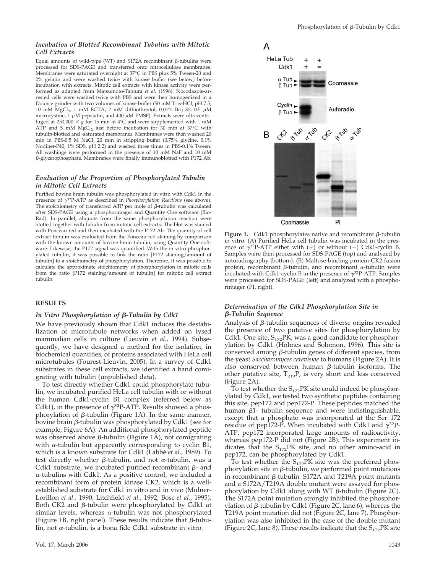#### *Incubation of Blotted Recombinant Tubulins with Mitotic Cell Extracts*

Equal amounts of wild-type (WT) and S172A recombinant  $\beta$ -tubulins were processed for SDS-PAGE and transferred onto nitrocellulose membranes. Membranes were saturated overnight at 37°C in PBS plus 5% Tween-20 and 2% gelatin and were washed twice with kinase buffer (see below) before incubation with extracts. Mitotic cell extracts with kinase activity were performed as adapted from Matsumoto-Taniura *et al.* (1996): Nocodazole-arrested cells were washed twice with PBS and were then homogenized in a Dounce grinder with two volumes of kinase buffer (50 mM Tris-HCl, pH 7.5, 10 mM  $MgCl<sub>2</sub>$ , 1 mM EGTA, 2 mM dithiothreitol, 0.01% Brij 35, 0.5  $\mu$ M microcystine, 1  $\mu$ M pepstatin, and 400  $\mu$ M PMSF). Extracts were ultracentrifuged at 250,000  $\times$  *g* for 15 min at 4°C and were supplemented with 1 mM ATP and 5 mM  $MgCl<sub>2</sub>$  just before incubation for 30 min at 37°C with tubulin-blotted and -saturated membranes. Membranes were then washed 20 min in PBS-0.5 M NaCl, 20 min in stripping buffer (0.75% glycine, 0.1% Nodinet-P40, 1% SDS, pH 2.2) and washed three times in PBS-0.1% Tween. All washings were performed in the presence of 10 mM NaF and 10 mM --glycerophosphate. Membranes were finally immunoblotted with P172 Ab.

#### *Evaluation of the Proportion of Phosphorylated Tubulin in Mitotic Cell Extracts*

Purified bovine brain tubulin was phosphorylated in vitro with Cdk1 in the presence of  $\gamma^{32}P$ -ATP as described in *Phosphorylation Reactions* (see above). The stoichiometry of transferred ATP per mole of  $\beta$ -tubulin was calculated after SDS-PAGE using a phosphorimager and Quantity One software (Bio-Rad). In parallel, aliquots from the same phosphorylation reaction were blotted together with tubulin from mitotic cell extracts. The blot was stained with Ponceau red and then incubated with the P172 Ab. The quantity of cell extract tubulin was evaluated from the Ponceau red staining by comparison with the known amounts of bovine brain tubulin, using Quantity One software. Likewise, the P172 signal was quantified. With the in vitro-phosphorylated tubulin, it was possible to link the ratio [P172 staining/amount of tubulin] to a stoichiometry of phosphorylation. Therefore, it was possible to calculate the approximate stoichiometry of phosphorylation in mitotic cells from the ratio [P172 staining/amount of tubulin] for mitotic cell extract tubulin.

#### **RESULTS**

#### *In Vitro Phosphorylation of β-Tubulin by Cdk1*

We have previously shown that Cdk1 induces the destabilization of microtubule networks when added on lysed mammalian cells in culture (Lieuvin *et al.,* 1994). Subsequently, we have designed a method for the isolation, in biochemical quantities, of proteins associated with HeLa cell microtubules (Fourest-Lieuvin, 2005). In a survey of Cdk1 substrates in these cell extracts, we identified a band comigrating with tubulin (unpublished data).

To test directly whether Cdk1 could phosphorylate tubulin, we incubated purified HeLa cell tubulin with or without the human Cdk1-cyclin B1 complex (referred below as Cdk1), in the presence of  $\gamma^{32}P$ -ATP. Results showed a phosphorylation of  $\beta$ -tubulin (Figure 1A). In the same manner, bovine brain β-tubulin was phosphorylated by Cdk1 (see for example, Figure 6A). An additional phosphorylated peptide was observed above  $\beta$ -tubulin (Figure 1A), not comigrating with  $\alpha$ -tubulin but apparently corresponding to cyclin B1, which is a known substrate for Cdk1 (Labbé *et al.*, 1989). To test directly whether  $\beta$ -tubulin, and not  $\alpha$ -tubulin, was a Cdk1 substrate, we incubated purified recombinant  $\beta$ - and  $\alpha$ -tubulins with Cdk1. As a positive control, we included a recombinant form of protein kinase CK2, which is a wellestablished substrate for Cdk1 in vitro and in vivo (Mulner-Lorillon *et al.,* 1990; Litchfield *et al.,* 1992; Bosc *et al.,* 1995). Both CK2 and  $\beta$ -tubulin were phosphorylated by Cdk1 at similar levels, whereas  $\alpha$ -tubulin was not phosphorylated (Figure 1B, right panel). These results indicate that  $\beta$ -tubulin, not  $\alpha$ -tubulin, is a bona fide Cdk1 substrate in vitro.



**Figure 1.** Cdk1 phosphorylates native and recombinant  $\beta$ -tubulin in vitro. (A) Purified HeLa cell tubulin was incubated in the presence of  $\gamma^{32}P$ -ATP either with (+) or without (-) Cdk1-cyclin B. Samples were then processed for SDS-PAGE (top) and analyzed by autoradiography (bottom). (B) Maltose-binding protein-CK2 fusion protein, recombinant β-tubulin, and recombinant  $\alpha$ -tubulin were incubated with Cdk1-cyclin B in the presence of  $\gamma^{32}P$ -ATP. Samples were processed for SDS-PAGE (left) and analyzed with a phosphorimager (PI, right).

#### *Determination of the Cdk1 Phosphorylation Site in -Tubulin Sequence*

Analysis of  $\beta$ -tubulin sequences of diverse origins revealed the presence of two putative sites for phosphorylation by Cdk1. One site,  $S_{172}$ PK, was a good candidate for phosphorylation by Cdk1 (Holmes and Solomon, 1996). This site is conserved among  $\beta$ -tubulin genes of different species, from the yeast *Saccharomyces cerevisiae* to humans (Figure 2A). It is also conserved between human  $\beta$ -tubulin isoforms. The other putative site,  $T_{219}P$ , is very short and less conserved (Figure 2A).

To test whether the  $S_{172}$ PK site could indeed be phosphorylated by Cdk1, we tested two synthetic peptides containing this site, pep172 and pep172-P. These peptides matched the human  $\beta$ 1- tubulin sequence and were indistinguishable, except that a phosphate was incorporated at the Ser 172 residue of pep172-P. When incubated with Cdk1 and  $\gamma^{32}P$ -ATP, pep172 incorporated large amounts of radioactivity, whereas pep172-P did not (Figure 2B). This experiment indicates that the  $S_{172}$ PK site, and no other amino-acid in pep172, can be phosphorylated by Cdk1.

To test whether the  $S_{172}$ PK site was the preferred phosphorylation site in  $\beta$ -tubulin, we performed point mutations in recombinant  $\beta$ -tubulin. S172A and T219A point mutants and a S172A/T219A double mutant were assayed for phosphorylation by Cdk1 along with WT  $\beta$ -tubulin (Figure 2C). The S172A point mutation strongly inhibited the phosphorylation of β-tubulin by Cdk1 (Figure 2C, lane 6), whereas the T219A point mutation did not (Figure 2C, lane 7). Phosphorylation was also inhibited in the case of the double mutant (Figure 2C, lane 8). These results indicate that the  $S_{172}$ PK site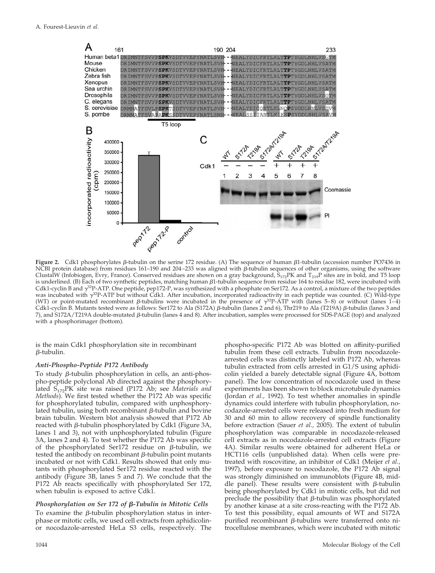

**Figure 2.** Cdk1 phosphorylates  $\beta$ -tubulin on the serine 172 residue. (A) The sequence of human  $\beta$ 1-tubulin (accession number PO7436 in NCBI protein database) from residues 161–190 and 204–233 was aligned with β-tubulin sequences of other organisms, using the software ClustalW (Infobiogen, Evry, France). Conserved residues are shown on a gray background,  $S_{172}$ PK and  $T_{219}$ P sites are in bold, and T5 loop is underlined. (B) Each of two synthetic peptides, matching human β1-tubulin sequence from residue 164 to residue 182, were incubated with Cdk1-cyclin B and  $\gamma^{32}P$ -ATP. One peptide, pep172-P, was synthesized with a phosphate on Ser172. As a control, a mixture of the two peptides was incubated with  $\gamma^{32}P$ -ATP but without Cdk1. After incubation, incorporated radioactivity in each peptide was counted. (C) Wild-type (WT) or point-mutated recombinant  $\beta$ -tubulins were incubated in the presence of  $\gamma^{32}P$ -ATP with (lanes 5–8) or without (lanes 1–4) Cdk1-cyclin B. Mutants tested were as follows: Ser172 to Ala (S172A) β-tubulin (lanes 2 and 6), Thr219 to Ala (T219A) β-tubulin (lanes 3 and 7), and S172A/T219A double-mutated β-tubulin (lanes 4 and 8). After incubation, samples were processed for SDS-PAGE (top) and analyzed with a phosphorimager (bottom).

is the main Cdk1 phosphorylation site in recombinant  $\beta$ -tubulin.

#### *Anti-Phospho-Peptide P172 Antibody*

To study β-tubulin phosphorylation in cells, an anti-phospho-peptide polyclonal Ab directed against the phosphorylated S<sub>172</sub>PK site was raised (P172 Ab; see *Materials and Methods*). We first tested whether the P172 Ab was specific for phosphorylated tubulin, compared with unphosphorylated tubulin, using both recombinant  $\beta$ -tubulin and bovine brain tubulin. Western blot analysis showed that P172 Ab reacted with β-tubulin phosphorylated by Cdk1 (Figure 3A, lanes 1 and 3), not with unphosphorylated tubulin (Figure 3A, lanes 2 and 4). To test whether the P172 Ab was specific of the phosphorylated Ser172 residue on  $\beta$ -tubulin, we tested the antibody on recombinant  $\beta$ -tubulin point mutants incubated or not with Cdk1. Results showed that only mutants with phosphorylated Ser172 residue reacted with the antibody (Figure 3B, lanes 5 and 7). We conclude that the P172 Ab reacts specifically with phosphorylated Ser 172, when tubulin is exposed to active Cdk1.

#### *Phosphorylation on Ser 172 of β-Tubulin in Mitotic Cells*

To examine the  $\beta$ -tubulin phosphorylation status in interphase or mitotic cells, we used cell extracts from aphidicolinor nocodazole-arrested HeLa S3 cells, respectively. The

phospho-specific P172 Ab was blotted on affinity-purified tubulin from these cell extracts. Tubulin from nocodazolearrested cells was distinctly labeled with P172 Ab, whereas tubulin extracted from cells arrested in G1/S using aphidicolin yielded a barely detectable signal (Figure 4A, bottom panel). The low concentration of nocodazole used in these experiments has been shown to block microtubule dynamics (Jordan *et al.,* 1992). To test whether anomalies in spindle dynamics could interfere with tubulin phosphorylation, nocodazole-arrested cells were released into fresh medium for 30 and 60 min to allow recovery of spindle functionality before extraction (Sauer *et al.,* 2005). The extent of tubulin phosphorylation was comparable in nocodazole-released cell extracts as in nocodazole-arrested cell extracts (Figure 4A). Similar results were obtained for adherent HeLa or HCT116 cells (unpublished data). When cells were pretreated with roscovitine, an inhibitor of Cdk1 (Meijer *et al.,* 1997), before exposure to nocodazole, the P172 Ab signal was strongly diminished on immunoblots (Figure 4B, middle panel). These results were consistent with  $\beta$ -tubulin being phosphorylated by Cdk1 in mitotic cells, but did not preclude the possibility that  $\beta$ -tubulin was phosphorylated by another kinase at a site cross-reacting with the P172 Ab. To test this possibility, equal amounts of WT and S172A purified recombinant  $\beta$ -tubulins were transferred onto nitrocellulose membranes, which were incubated with mitotic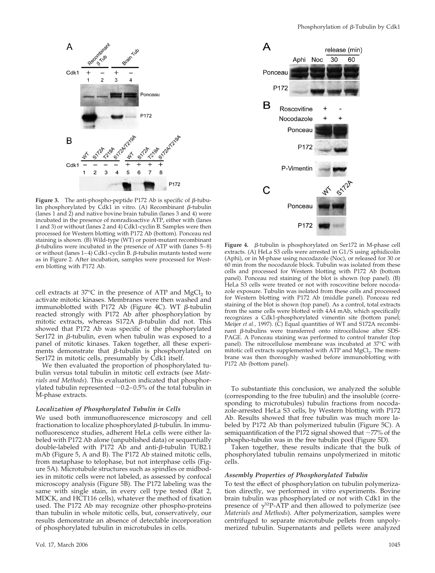

**Figure 3.** The anti-phospho-peptide  $P172$  Ab is specific of  $\beta$ -tubulin phosphorylated by Cdk1 in vitro. (A) Recombinant  $\beta$ -tubulin (lanes 1 and 2) and native bovine brain tubulin (lanes 3 and 4) were incubated in the presence of nonradioactive ATP, either with (lanes 1 and 3) or without (lanes 2 and 4) Cdk1-cyclin B. Samples were then processed for Western blotting with P172 Ab (bottom). Ponceau red staining is shown. (B) Wild-type (WT) or point-mutant recombinant  $\beta$ -tubulins were incubated in the presence of ATP with (lanes 5–8) or without (lanes 1–4) Cdk1-cyclin B.  $\beta$ -tubulin mutants tested were as in Figure 2. After incubation, samples were processed for Western blotting with P172 Ab.

cell extracts at  $37^{\circ}$ C in the presence of ATP and MgCl<sub>2</sub> to activate mitotic kinases. Membranes were then washed and immunoblotted with P172 Ab (Figure 4C). WT  $\beta$ -tubulin reacted strongly with P172 Ab after phosphorylation by mitotic extracts, whereas S172A β-tubulin did not. This showed that P172 Ab was specific of the phosphorylated Ser172 in  $\beta$ -tubulin, even when tubulin was exposed to a panel of mitotic kinases. Taken together, all these experiments demonstrate that  $\beta$ -tubulin is phosphorylated on Ser172 in mitotic cells, presumably by Cdk1 itself.

We then evaluated the proportion of phosphorylated tubulin versus total tubulin in mitotic cell extracts (see *Materials and Methods*). This evaluation indicated that phosphorylated tubulin represented  $\sim 0.2-0.5\%$  of the total tubulin in M-phase extracts.

#### *Localization of Phosphorylated Tubulin in Cells*

We used both immunofluorescence microscopy and cell fractionation to localize phosphorylated  $\beta$ -tubulin. In immunofluorescence studies, adherent HeLa cells were either labeled with P172 Ab alone (unpublished data) or sequentially double-labeled with P172 Ab and anti-β-tubulin TUB2.1 mAb (Figure 5, A and B). The P172 Ab stained mitotic cells, from metaphase to telophase, but not interphase cells (Figure 5A). Microtubule structures such as spindles or midbodies in mitotic cells were not labeled, as assessed by confocal microscopy analysis (Figure 5B). The P172 labeling was the same with single stain, in every cell type tested (Rat 2, MDCK, and HCT116 cells), whatever the method of fixation used. The P172 Ab may recognize other phospho-proteins than tubulin in whole mitotic cells, but, conservatively, our results demonstrate an absence of detectable incorporation of phosphorylated tubulin in microtubules in cells.



Figure 4.  $\beta$ -tubulin is phosphorylated on Ser172 in M-phase cell extracts. (A) HeLa S3 cells were arrested in G1/S using aphidicolin (Aphi), or in M-phase using nocodazole (Noc), or released for 30 or 60 min from the nocodazole block. Tubulin was isolated from these cells and processed for Western blotting with P172 Ab (bottom panel). Ponceau red staining of the blot is shown (top panel). (B) HeLa S3 cells were treated or not with roscovitine before nocodazole exposure. Tubulin was isolated from these cells and processed for Western blotting with P172 Ab (middle panel). Ponceau red staining of the blot is shown (top panel). As a control, total extracts from the same cells were blotted with 4A4 mAb, which specifically recognizes a Cdk1-phosphorylated vimentin site (bottom panel; Meijer *et al.,* 1997). (C) Equal quantities of WT and S172A recombinant β-tubulins were transferred onto nitrocellulose after SDS-PAGE. A Ponceau staining was performed to control transfer (top panel). The nitrocellulose membrane was incubated at 37°C with mitotic cell extracts supplemented with ATP and MgCl<sub>2</sub>. The membrane was then thoroughly washed before immunoblotting with P172 Ab (bottom panel).

To substantiate this conclusion, we analyzed the soluble (corresponding to the free tubulin) and the insoluble (corresponding to microtubules) tubulin fractions from nocodazole-arrested HeLa S3 cells, by Western blotting with P172 Ab. Results showed that free tubulin was much more labeled by P172 Ab than polymerized tubulin (Figure 5C). A semiquantification of the P172 signal showed that  $\sim$ 77% of the phospho-tubulin was in the free tubulin pool (Figure 5D).

Taken together, these results indicate that the bulk of phosphorylated tubulin remains unpolymerized in mitotic cells.

#### *Assembly Properties of Phosphorylated Tubulin*

To test the effect of phosphorylation on tubulin polymerization directly, we performed in vitro experiments. Bovine brain tubulin was phosphorylated or not with Cdk1 in the presence of  $\gamma^{32}P$ -ATP and then allowed to polymerize (see *Materials and Methods*). After polymerization, samples were centrifuged to separate microtubule pellets from unpolymerized tubulin. Supernatants and pellets were analyzed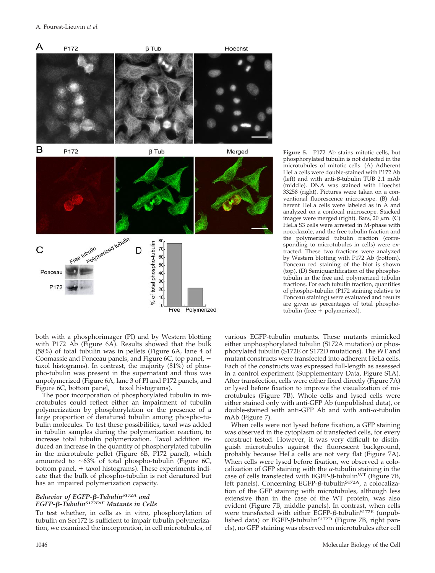

both with a phosphorimager (PI) and by Western blotting with P172 Ab (Figure 6A). Results showed that the bulk (58%) of total tubulin was in pellets (Figure 6A, lane 4 of Coomassie and Ponceau panels, and Figure 6C, top panel, taxol histograms). In contrast, the majority (81%) of phospho-tubulin was present in the supernatant and thus was unpolymerized (Figure 6A, lane 3 of PI and P172 panels, and Figure  $6C$ , bottom panel,  $-$  taxol histograms).

The poor incorporation of phosphorylated tubulin in microtubules could reflect either an impairment of tubulin polymerization by phosphorylation or the presence of a large proportion of denatured tubulin among phospho-tubulin molecules. To test these possibilities, taxol was added in tubulin samples during the polymerization reaction, to increase total tubulin polymerization. Taxol addition induced an increase in the quantity of phosphorylated tubulin in the microtubule pellet (Figure 6B, P172 panel), which amounted to  $~63\%$  of total phospho-tubulin (Figure 6C, bottom panel,  $+$  taxol histograms). These experiments indicate that the bulk of phospho-tubulin is not denatured but has an impaired polymerization capacity.

#### *Behavior of EGFP-* $\beta$ *-Tubulin*<sup>S172A</sup> and *EGFP--TubulinS172D/E Mutants in Cells*

To test whether, in cells as in vitro, phosphorylation of tubulin on Ser172 is sufficient to impair tubulin polymerization, we examined the incorporation, in cell microtubules, of **Figure 5.** P172 Ab stains mitotic cells, but phosphorylated tubulin is not detected in the microtubules of mitotic cells. (A) Adherent HeLa cells were double-stained with P172 Ab (left) and with anti-β-tubulin TUB 2.1 mAb (middle). DNA was stained with Hoechst 33258 (right). Pictures were taken on a conventional fluorescence microscope. (B) Adherent HeLa cells were labeled as in A and analyzed on a confocal microscope. Stacked images were merged (right). Bars, 20  $\mu$ m. (C) HeLa S3 cells were arrested in M-phase with nocodazole, and the free tubulin fraction and the polymerized tubulin fraction (corresponding to microtubules in cells) were extracted. These two fractions were analyzed by Western blotting with P172 Ab (bottom). Ponceau red staining of the blot is shown (top). (D) Semiquantification of the phosphotubulin in the free and polymerized tubulin fractions. For each tubulin fraction, quantities of phospho-tubulin (P172 staining relative to Ponceau staining) were evaluated and results are given as percentages of total phosphotubulin (free  $+$  polymerized).

various EGFP-tubulin mutants. These mutants mimicked either unphosphorylated tubulin (S172A mutation) or phosphorylated tubulin (S172E or S172D mutations). The WT and mutant constructs were transfected into adherent HeLa cells. Each of the constructs was expressed full-length as assessed in a control experiment (Supplementary Data, Figure S1A). After transfection, cells were either fixed directly (Figure 7A) or lysed before fixation to improve the visualization of microtubules (Figure 7B). Whole cells and lysed cells were either stained only with anti-GFP Ab (unpublished data), or double-stained with anti-GFP Ab and with anti- $\alpha$ -tubulin mAb (Figure 7).

When cells were not lysed before fixation, a GFP staining was observed in the cytoplasm of transfected cells, for every construct tested. However, it was very difficult to distinguish microtubules against the fluorescent background, probably because HeLa cells are not very flat (Figure 7A). When cells were lysed before fixation, we observed a colocalization of GFP staining with the  $\alpha$ -tubulin staining in the case of cells transfected with EGFP- $\beta$ -tubulin<sup>WT</sup> (Figure 7B, left panels). Concerning EGFP-β-tubulin<sup>S172A</sup>, a colocalization of the GFP staining with microtubules, although less extensive than in the case of the WT protein, was also evident (Figure 7B, middle panels). In contrast, when cells were transfected with either EGFP- $\beta$ -tubulin<sup>S172E</sup> (unpublished data) or EGFP-β-tubulin<sup>S172D</sup> (Figure 7B, right panels), no GFP staining was observed on microtubules after cell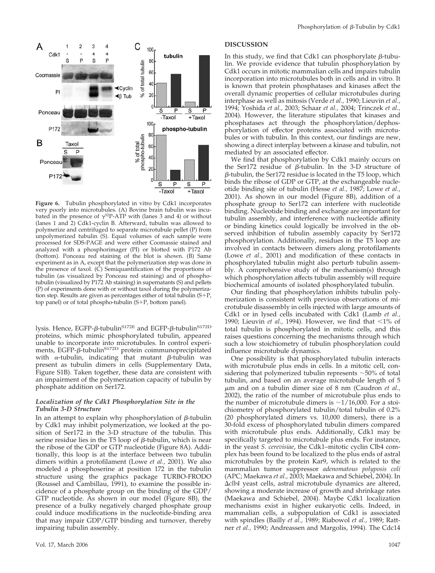

**Figure 6.** Tubulin phosphorylated in vitro by Cdk1 incorporates very poorly into microtubules. (A) Bovine brain tubulin was incubated in the presence of  $\gamma^3$ P-ATP with (lanes 3 and 4) or without (lanes 1 and 2) Cdk1-cyclin B. Afterward, tubulin was allowed to polymerize and centrifuged to separate microtubule pellet (P) from unpolymerized tubulin (S). Equal volumes of each sample were processed for SDS-PAGE and were either Coomassie stained and analyzed with a phosphorimager (PI) or blotted with P172 Ab (bottom). Ponceau red staining of the blot is shown. (B) Same experiment as in A, except that the polymerization step was done in the presence of taxol.  $(\hat{C})$  Semiquantification of the proportions of tubulin (as visualized by Ponceau red staining) and of phosphotubulin (visualized by P172 Ab staining) in supernatants (S) and pellets (P) of experiments done with or without taxol during the polymerization step. Results are given as percentages either of total tubulin  $(S+P,$ top panel) or of total phospho-tubulin  $(S+P)$ , bottom panel).

lysis. Hence, EGFP-β-tubulin<sup>S172E</sup> and EGFP-β-tubulin<sup>S172D</sup> proteins, which mimic phosphorylated tubulin, appeared unable to incorporate into microtubules. In control experiments, EGFP- $\beta$ -tubulin<sup>S172D</sup> protein coimmunoprecipitated with  $\alpha$ -tubulin, indicating that mutant  $\beta$ -tubulin was present as tubulin dimers in cells (Supplementary Data, Figure S1B). Taken together, these data are consistent with an impairment of the polymerization capacity of tubulin by phosphate addition on Ser172.

#### *Localization of the Cdk1 Phosphorylation Site in the Tubulin 3-D Structure*

In an attempt to explain why phosphorylation of  $\beta$ -tubulin by Cdk1 may inhibit polymerization, we looked at the position of Ser172 in the 3-D structure of the tubulin. This serine residue lies in the T5 loop of  $\beta$ -tubulin, which is near the ribose of the GDP or GTP nucleotide (Figure 8A). Additionally, this loop is at the interface between two tubulin dimers within a protofilament (Lowe *et al.,* 2001). We also modeled a phosphoserine at position 172 in the tubulin structure using the graphics package TURBO-FRODO (Roussel and Cambillau, 1991), to examine the possible incidence of a phosphate group on the binding of the GDP/ GTP nucleotide. As shown in our model (Figure 8B), the presence of a bulky negatively charged phosphate group could induce modifications in the nucleotide-binding area that may impair GDP/GTP binding and turnover, thereby impairing tubulin assembly.

#### **DISCUSSION**

In this study, we find that Cdk1 can phosphorylate  $\beta$ -tubulin. We provide evidence that tubulin phosphorylation by Cdk1 occurs in mitotic mammalian cells and impairs tubulin incorporation into microtubules both in cells and in vitro. It is known that protein phosphatases and kinases affect the overall dynamic properties of cellular microtubules during interphase as well as mitosis (Verde *et al.,* 1990; Lieuvin *et al.,* 1994; Yoshida *et al.,* 2003; Schaar *et al.,* 2004; Trinczek *et al.,* 2004). However, the literature stipulates that kinases and phosphatases act through the phosphorylation/dephosphorylation of effector proteins associated with microtubules or with tubulin. In this context, our findings are new, showing a direct interplay between a kinase and tubulin, not mediated by an associated effector.

We find that phosphorylation by Cdk1 mainly occurs on the Ser172 residue of  $\beta$ -tubulin. In the 3-D structure of  $\beta$ -tubulin, the Ser172 residue is located in the T5 loop, which binds the ribose of GDP or GTP, at the exchangeable nucleotide binding site of tubulin (Hesse *et al.,* 1987; Lowe *et al.,* 2001). As shown in our model (Figure 8B), addition of a phosphate group to Ser172 can interfere with nucleotide binding. Nucleotide binding and exchange are important for tubulin assembly, and interference with nucleotide affinity or binding kinetics could logically be involved in the observed inhibition of tubulin assembly capacity by Ser172 phosphorylation. Additionally, residues in the T5 loop are involved in contacts between dimers along protofilaments (Lowe *et al.,* 2001) and modification of these contacts in phosphorylated tubulin might also perturb tubulin assembly. A comprehensive study of the mechanism(s) through which phosphorylation affects tubulin assembly will require biochemical amounts of isolated phosphorylated tubulin.

Our finding that phosphorylation inhibits tubulin polymerization is consistent with previous observations of microtubule disassembly in cells injected with large amounts of Cdk1 or in lysed cells incubated with Cdk1 (Lamb *et al.,* 1990; Lieuvin *et al.*, 1994). However, we find that  $\langle 1\% \rangle$  of total tubulin is phosphorylated in mitotic cells, and this raises questions concerning the mechanisms through which such a low stoichiometry of tubulin phosphorylation could influence microtubule dynamics.

One possibility is that phosphorylated tubulin interacts with microtubule plus ends in cells. In a mitotic cell, considering that polymerized tubulin represents  $\sim$  50% of total tubulin, and based on an average microtubule length of 5 m and on a tubulin dimer size of 8 nm (Caudron *et al.,* 2002), the ratio of the number of microtubule plus ends to the number of microtubule dimers is  $\sim$ 1/16,000. For a stoichiometry of phosphorylated tubulin/total tubulin of 0.2% (20 phosphorylated dimers vs. 10,000 dimers), there is a 30-fold excess of phosphorylated tubulin dimers compared with microtubule plus ends. Additionally, Cdk1 may be specifically targeted to microtubule plus ends. For instance, in the yeast *S. cerevisiae*, the Cdk1–mitotic cyclin Clb4 complex has been found to be localized to the plus ends of astral microtubules by the protein Kar9, which is related to the mammalian tumor suppressor *adenomatous polyposis coli* (APC; Maekawa *et al.,* 2003; Maekawa and Schiebel, 2004). In *clb4* yeast cells, astral microtubule dynamics are altered, showing a moderate increase of growth and shrinkage rates (Maekawa and Schiebel, 2004). Maybe Cdk1 localization mechanisms exist in higher eukaryotic cells. Indeed, in mammalian cells, a subpopulation of Cdk1 is associated with spindles (Bailly *et al.,* 1989; Riabowol *et al.,* 1989; Rattner *et al.,* 1990; Andreassen and Margolis, 1994). The Cdc14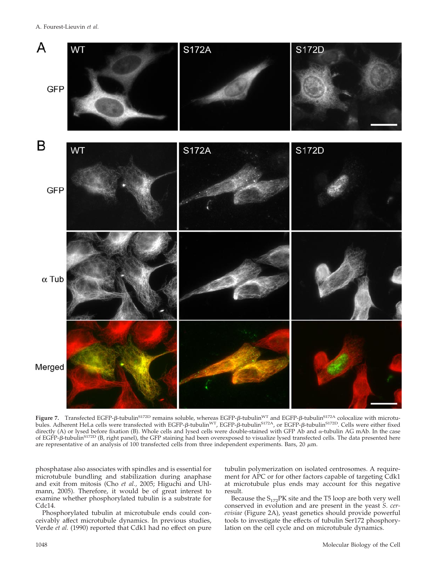

Figure 7. Transfected EGFP-ß-tubulin<sup>s172D</sup> remains soluble, whereas EGFP-ß-tubulin<sup>WT</sup> and EGFP-ß-tubulin<sup>s172A</sup> colocalize with microtubules. Adherent HeLa cells were transfected with EGFP-β-tubulin<sup>WT</sup>, EGFP-β-tubulin<sup>S172A</sup>, or EGFP-β-tubulin<sup>S172D</sup>. Cells were either fixed directly (A) or lysed before fixation (B). Whole cells and lysed cells were double-stained with GFP Ab and  $\alpha$ -tubulin AG mAb. In the case of EGFP-ß-tubulin<sup>s172D</sup> (B, right panel), the GFP staining had been overexposed to visualize lysed transfected cells. The data presented here are representative of an analysis of 100 transfected cells from three independent experiments. Bars, 20  $\mu$ m.

phosphatase also associates with spindles and is essential for microtubule bundling and stabilization during anaphase and exit from mitosis (Cho *et al.,* 2005; Higuchi and Uhlmann, 2005). Therefore, it would be of great interest to examine whether phosphorylated tubulin is a substrate for Cdc14.

Phosphorylated tubulin at microtubule ends could conceivably affect microtubule dynamics. In previous studies, Verde *et al.* (1990) reported that Cdk1 had no effect on pure

tubulin polymerization on isolated centrosomes. A requirement for APC or for other factors capable of targeting Cdk1 at microtubule plus ends may account for this negative result.

Because the  $S_{172}$ PK site and the T5 loop are both very well conserved in evolution and are present in the yeast *S. cerevisiae* (Figure 2A), yeast genetics should provide powerful tools to investigate the effects of tubulin Ser172 phosphorylation on the cell cycle and on microtubule dynamics.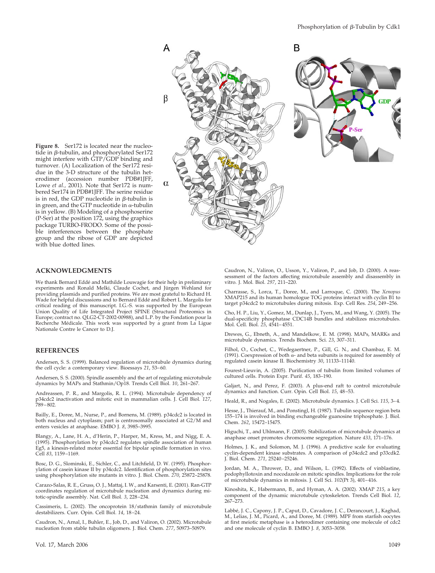

**Figure 8.** Ser172 is located near the nucleotide in  $\beta$ -tubulin, and phosphorylated Ser172 might interfere with GTP/GDP binding and turnover. (A) Localization of the Ser172 residue in the 3-D structure of the tubulin heterodimer (accession number PDB#1JFF, Lowe *et al.*, 2001). Note that Ser172 is numbered Ser174 in PDB#1JFF. The serine residue is in red, the GDP nucleotide in  $\beta$ -tubulin is in green, and the GTP nucleotide in  $\alpha$ -tubulin is in yellow. (B) Modeling of a phosphoserine (P-Ser) at the position 172, using the graphics package TURBO-FRODO. Some of the possible interferences between the phosphate group and the ribose of GDP are depicted with blue dotted lines.

#### **ACKNOWLEDGMENTS**

We thank Bernard Eddé and Mathilde Louwagie for their help in preliminary experiments and Ronald Melki, Claude Cochet, and Jürgen Wehland for providing plasmids and purified proteins. We are most grateful to Richard H. Wade for helpful discussions and to Bernard Eddé and Robert L. Margolis for critical reading of this manuscript. I.G.-S. was supported by the European Union Quality of Life Integrated Project SPINE (Structural Proteomics in Europe; contract no. QLG2-CT-2002-00988), and L.P. by the Fondation pour la Recherche Médicale. This work was supported by a grant from La Ligue Nationale Contre le Cancer to D.J.

#### **REFERENCES**

Andersen, S. S. (1999). Balanced regulation of microtubule dynamics during the cell cycle: a contemporary view. Bioessays *21*, 53–60.

Andersen, S. S. (2000). Spindle assembly and the art of regulating microtubule dynamics by MAPs and Stathmin/Op18. Trends Cell Biol. *10*, 261–267.

Andreassen, P. R., and Margolis, R. L. (1994). Microtubule dependency of p34cdc2 inactivation and mitotic exit in mammalian cells. J. Cell Biol. *127*, 789–802.

Bailly, E., Doree, M., Nurse, P., and Bornens, M. (1989). p34cdc2 is located in both nucleus and cytoplasm; part is centrosomally associated at G2/M and enters vesicles at anaphase. EMBO J. *8*, 3985–3995.

Blangy, A., Lane, H. A., d'Herin, P., Harper, M., Kress, M., and Nigg, E. A. (1995). Phosphorylation by p34cdc2 regulates spindle association of human Eg5, a kinesin-related motor essential for bipolar spindle formation in vivo. Cell *83*, 1159–1169.

Bosc, D. G., Slominski, E., Sichler, C., and Litchfield, D. W. (1995). Phosphorylation of casein kinase II by p34cdc2. Identification of phosphorylation sites using phosphorylation site mutants in vitro. J. Biol. Chem. *270*, 25872–25878.

Carazo-Salas, R. E., Gruss, O. J., Mattaj, I. W., and Karsenti, E. (2001). Ran-GTP coordinates regulation of microtubule nucleation and dynamics during mitotic-spindle assembly. Nat. Cell Biol. *3*, 228–234.

Cassimeris, L. (2002). The oncoprotein 18/stathmin family of microtubule destabilizers. Curr. Opin. Cell Biol. *14*, 18–24.

Caudron, N., Arnal, I., Buhler, E., Job, D., and Valiron, O. (2002). Microtubule nucleation from stable tubulin oligomers. J. Biol. Chem. *277*, 50973–50979.

Vol. 17, March 2006 1049

Caudron, N., Valiron, O., Usson, Y., Valiron, P., and Job, D. (2000). A reassessment of the factors affecting microtubule assembly and disassembly in vitro. J. Mol. Biol. *297*, 211–220.

Charrasse, S., Lorca, T., Doree, M., and Larroque, C. (2000). The *Xenopus* XMAP215 and its human homologue TOG proteins interact with cyclin B1 to target p34cdc2 to microtubules during mitosis. Exp. Cell Res. *254*, 249–256.

Cho, H. P., Liu, Y., Gomez, M., Dunlap, J., Tyers, M., and Wang, Y. (2005). The dual-specificity phosphatase CDC14B bundles and stabilizes microtubules. Mol. Cell. Biol. *25*, 4541–4551.

Drewes, G., Ebneth, A., and Mandelkow, E. M. (1998). MAPs, MARKs and microtubule dynamics. Trends Biochem. Sci. *23*, 307–311.

Filhol, O., Cochet, C., Wedegaertner, P., Gill, G. N., and Chambaz, E. M. (1991). Coexpression of both  $\alpha$ - and beta subunits is required for assembly of regulated casein kinase II. Biochemistry *30*, 11133–11140.

Fourest-Lieuvin, A. (2005). Purification of tubulin from limited volumes of cultured cells. Protein Expr. Purif. *45*, 183–190.

Galjart, N., and Perez, F. (2003). A plus-end raft to control microtubule dynamics and function. Curr. Opin. Cell Biol. *15*, 48–53.

Heald, R., and Nogales, E. (2002). Microtubule dynamics. J. Cell Sci. *115*, 3–4.

Hesse, J., Thierauf, M., and Ponstingl, H. (1987). Tubulin sequence region beta 155–174 is involved in binding exchangeable guanosine triphosphate. J. Biol. Chem. *262*, 15472–15475.

Higuchi, T., and Uhlmann, F. (2005). Stabilization of microtubule dynamics at anaphase onset promotes chromosome segregation. Nature *433*, 171–176.

Holmes, J. K., and Solomon, M. J. (1996). A predictive scale for evaluating cyclin-dependent kinase substrates. A comparison of p34cdc2 and p33cdk2. J. Biol. Chem. *271*, 25240–25246.

Jordan, M. A., Thrower, D., and Wilson, L. (1992). Effects of vinblastine, podophyllotoxin and nocodazole on mitotic spindles. Implications for the role of microtubule dynamics in mitosis. J. Cell Sci. *102*(Pt 3), 401–416.

Kinoshita, K., Habermann, B., and Hyman, A. A. (2002). XMAP *215*, a key component of the dynamic microtubule cytoskeleton. Trends Cell Biol. *12*, 267–273.

Labbé, J. C., Capony, J. P., Caput, D., Cavadore, J. C., Derancourt, J., Kaghad, M., Lelias, J. M., Picard, A., and Doree, M. (1989). MPF from starfish oocytes at first meiotic metaphase is a heterodimer containing one molecule of cdc2 and one molecule of cyclin B. EMBO J. *8*, 3053–3058.